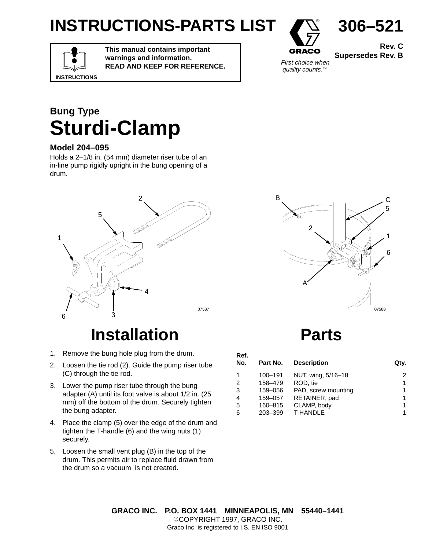# **INSTRUCTIONS-PARTS LIST**



**Rev. C Supersedes Rev. B**

**306–521**

**INSTRUCTIONS**

**This manual contains important warnings and information. READ AND KEEP FOR REFERENCE.**



#### **Bung Type Sturdi-Clamp**

#### **Model 204–095**

Holds a 2–1/8 in. (54 mm) diameter riser tube of an in-line pump rigidly upright in the bung opening of a drum.



## **Installation**

- 1. Remove the bung hole plug from the drum.
- 2. Loosen the tie rod (2). Guide the pump riser tube (C) through the tie rod.
- 3. Lower the pump riser tube through the bung adapter (A) until its foot valve is about 1/2 in. (25 mm) off the bottom of the drum. Securely tighten the bung adapter.
- 4. Place the clamp (5) over the edge of the drum and tighten the T-handle (6) and the wing nuts (1) securely.
- 5. Loosen the small vent plug (B) in the top of the drum. This permits air to replace fluid drawn from the drum so a vacuum is not created.



#### **Parts**

| Ref.<br>No.    | Part No. | <b>Description</b>  | Qty. |
|----------------|----------|---------------------|------|
| 1              | 100-191  | NUT, wing, 5/16-18  | 2    |
| $\overline{2}$ | 158-479  | ROD, tie            | 1    |
| 3              | 159-056  | PAD, screw mounting | 1    |
| $\overline{4}$ | 159-057  | RETAINER, pad       | 1    |
| 5              | 160-815  | CLAMP, body         | 1    |
| 6              | 203-399  | <b>T-HANDLE</b>     | 1    |